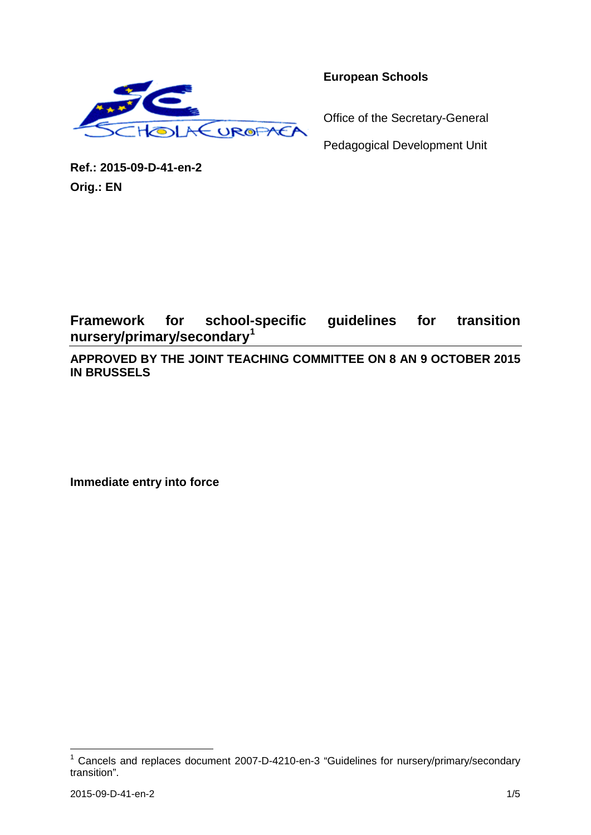

**European Schools**

Office of the Secretary-General

Pedagogical Development Unit

**Ref.: 2015-09-D-41-en-2 Orig.: EN**

**Framework for school-specific guidelines for transition nursery/primary/secondary[1](#page-0-0)**

**APPROVED BY THE JOINT TEACHING COMMITTEE ON 8 AN 9 OCTOBER 2015 IN BRUSSELS**

**Immediate entry into force**

<span id="page-0-0"></span><sup>1</sup> Cancels and replaces document 2007-D-4210-en-3 "Guidelines for nursery/primary/secondary transition".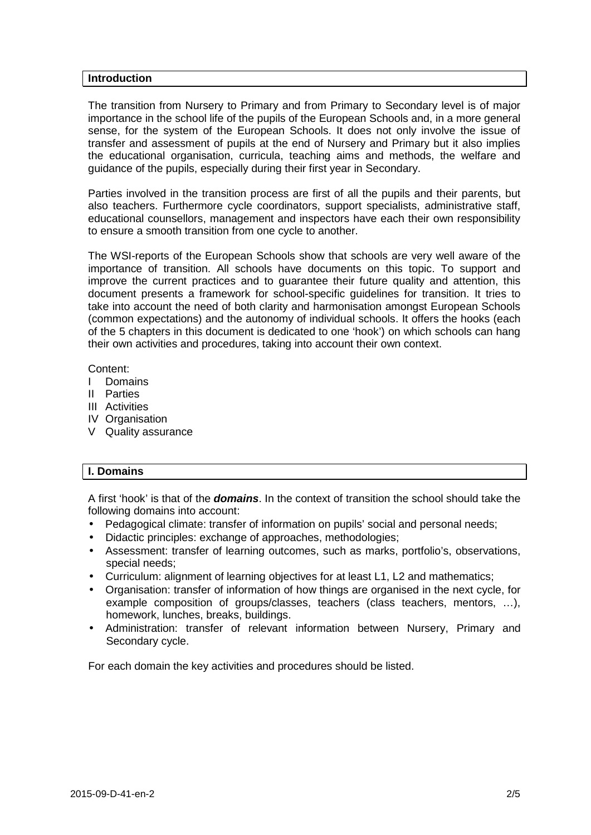#### **Introduction**

The transition from Nursery to Primary and from Primary to Secondary level is of major importance in the school life of the pupils of the European Schools and, in a more general sense, for the system of the European Schools. It does not only involve the issue of transfer and assessment of pupils at the end of Nursery and Primary but it also implies the educational organisation, curricula, teaching aims and methods, the welfare and guidance of the pupils, especially during their first year in Secondary.

Parties involved in the transition process are first of all the pupils and their parents, but also teachers. Furthermore cycle coordinators, support specialists, administrative staff, educational counsellors, management and inspectors have each their own responsibility to ensure a smooth transition from one cycle to another.

The WSI-reports of the European Schools show that schools are very well aware of the importance of transition. All schools have documents on this topic. To support and improve the current practices and to guarantee their future quality and attention, this document presents a framework for school-specific guidelines for transition. It tries to take into account the need of both clarity and harmonisation amongst European Schools (common expectations) and the autonomy of individual schools. It offers the hooks (each of the 5 chapters in this document is dedicated to one 'hook') on which schools can hang their own activities and procedures, taking into account their own context.

#### Content:

- I Domains
- II Parties
- III Activities
- IV Organisation
- V Quality assurance

# **I. Domains**

A first 'hook' is that of the *domains*. In the context of transition the school should take the following domains into account:

- Pedagogical climate: transfer of information on pupils' social and personal needs; ÷.
- Didactic principles: exchange of approaches, methodologies;
- Assessment: transfer of learning outcomes, such as marks, portfolio's, observations, special needs;
- Curriculum: alignment of learning objectives for at least L1, L2 and mathematics;
- Organisation: transfer of information of how things are organised in the next cycle, for example composition of groups/classes, teachers (class teachers, mentors, …), homework, lunches, breaks, buildings.
- Administration: transfer of relevant information between Nursery, Primary and Secondary cycle.

For each domain the key activities and procedures should be listed.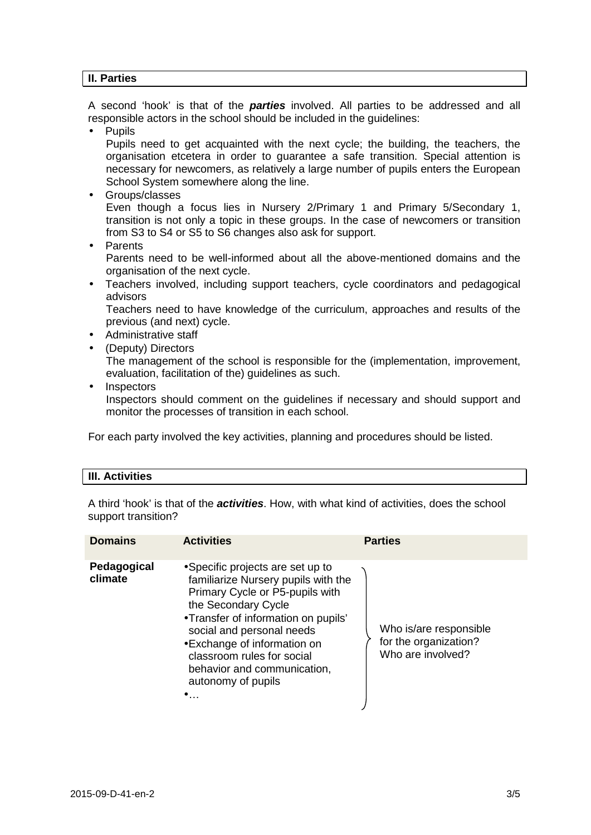# **II. Parties**

A second 'hook' is that of the *parties* involved. All parties to be addressed and all responsible actors in the school should be included in the guidelines:

Pupils

Pupils need to get acquainted with the next cycle; the building, the teachers, the organisation etcetera in order to guarantee a safe transition. Special attention is necessary for newcomers, as relatively a large number of pupils enters the European School System somewhere along the line.

Groups/classes

Even though a focus lies in Nursery 2/Primary 1 and Primary 5/Secondary 1, transition is not only a topic in these groups. In the case of newcomers or transition from S3 to S4 or S5 to S6 changes also ask for support.

Parents

Parents need to be well-informed about all the above-mentioned domains and the organisation of the next cycle.

Teachers involved, including support teachers, cycle coordinators and pedagogical advisors

Teachers need to have knowledge of the curriculum, approaches and results of the previous (and next) cycle.

- Administrative staff
- (Deputy) Directors

The management of the school is responsible for the (implementation, improvement, evaluation, facilitation of the) guidelines as such.

Inspectors

Inspectors should comment on the guidelines if necessary and should support and monitor the processes of transition in each school.

For each party involved the key activities, planning and procedures should be listed.

#### **III. Activities**

A third 'hook' is that of the *activities*. How, with what kind of activities, does the school support transition?

| <b>Domains</b>         | <b>Activities</b>                                                                                                                                                                                                                                                                                                                       | <b>Parties</b>                                                       |
|------------------------|-----------------------------------------------------------------------------------------------------------------------------------------------------------------------------------------------------------------------------------------------------------------------------------------------------------------------------------------|----------------------------------------------------------------------|
| Pedagogical<br>climate | Specific projects are set up to<br>familiarize Nursery pupils with the<br>Primary Cycle or P5-pupils with<br>the Secondary Cycle<br>· Transfer of information on pupils'<br>social and personal needs<br>Exchange of information on<br>classroom rules for social<br>behavior and communication,<br>autonomy of pupils<br>٠<br>$\cdots$ | Who is/are responsible<br>for the organization?<br>Who are involved? |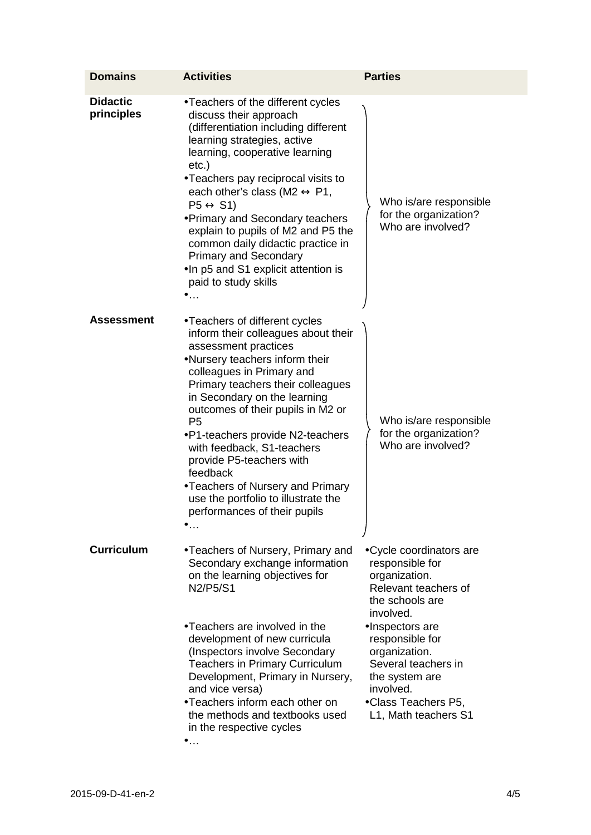| <b>Domains</b>                | <b>Activities</b>                                                                                                                                                                                                                                                                                                                                                                                                                                                                                                     | <b>Parties</b>                                                                                                                                                                                                                                                                                            |
|-------------------------------|-----------------------------------------------------------------------------------------------------------------------------------------------------------------------------------------------------------------------------------------------------------------------------------------------------------------------------------------------------------------------------------------------------------------------------------------------------------------------------------------------------------------------|-----------------------------------------------------------------------------------------------------------------------------------------------------------------------------------------------------------------------------------------------------------------------------------------------------------|
| <b>Didactic</b><br>principles | · Teachers of the different cycles<br>discuss their approach<br>(differentiation including different<br>learning strategies, active<br>learning, cooperative learning<br>$etc.$ )<br>· Teachers pay reciprocal visits to<br>each other's class (M2 « P1,<br>P5 « S1)<br>. Primary and Secondary teachers<br>explain to pupils of M2 and P5 the<br>common daily didactic practice in<br><b>Primary and Secondary</b><br>In p5 and S1 explicit attention is<br>paid to study skills<br>.                                | Who is/are responsible<br>for the organization?<br>Who are involved?                                                                                                                                                                                                                                      |
| <b>Assessment</b>             | · Teachers of different cycles<br>inform their colleagues about their<br>assessment practices<br>· Nursery teachers inform their<br>colleagues in Primary and<br>Primary teachers their colleagues<br>in Secondary on the learning<br>outcomes of their pupils in M2 or<br>P <sub>5</sub><br>· P1-teachers provide N2-teachers<br>with feedback, S1-teachers<br>provide P5-teachers with<br>feedback<br>. Teachers of Nursery and Primary<br>use the portfolio to illustrate the<br>performances of their pupils<br>. | Who is/are responsible<br>for the organization?<br>Who are involved?                                                                                                                                                                                                                                      |
| <b>Curriculum</b>             | · Teachers of Nursery, Primary and<br>Secondary exchange information<br>on the learning objectives for<br>N2/P5/S1<br>· Teachers are involved in the<br>development of new curricula<br>(Inspectors involve Secondary<br><b>Teachers in Primary Curriculum</b><br>Development, Primary in Nursery,<br>and vice versa)<br>· Teachers inform each other on<br>the methods and textbooks used<br>in the respective cycles<br>$\cdots$                                                                                    | Cycle coordinators are<br>responsible for<br>organization.<br>Relevant teachers of<br>the schools are<br>involved.<br>· Inspectors are<br>responsible for<br>organization.<br>Several teachers in<br>the system are<br>involved.<br>· Class Teachers P5,<br>L <sub>1</sub> , Math teachers S <sub>1</sub> |